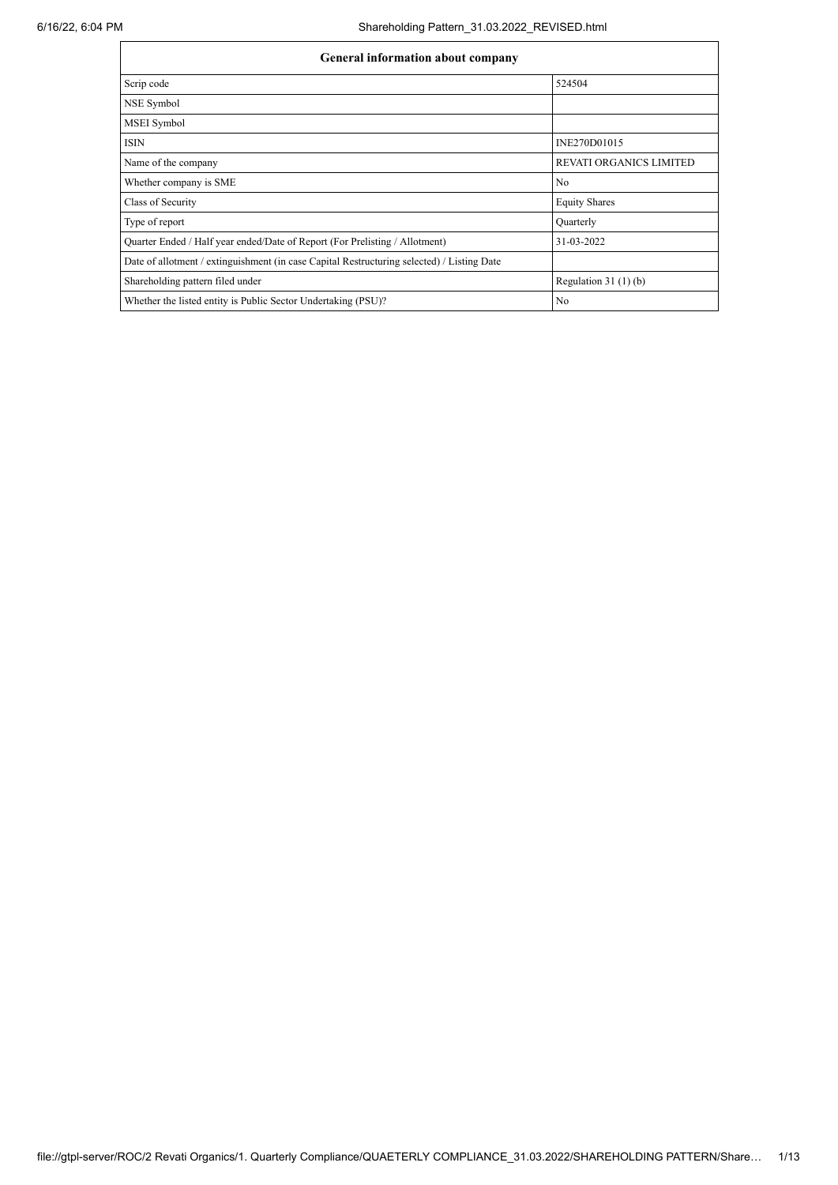| General milorimation about company                                                         |                                |  |  |  |  |  |  |
|--------------------------------------------------------------------------------------------|--------------------------------|--|--|--|--|--|--|
| Scrip code                                                                                 | 524504                         |  |  |  |  |  |  |
| NSE Symbol                                                                                 |                                |  |  |  |  |  |  |
| <b>MSEI</b> Symbol                                                                         |                                |  |  |  |  |  |  |
| <b>ISIN</b>                                                                                | INE270D01015                   |  |  |  |  |  |  |
| Name of the company                                                                        | <b>REVATI ORGANICS LIMITED</b> |  |  |  |  |  |  |
| Whether company is SME                                                                     | No                             |  |  |  |  |  |  |
| Class of Security                                                                          | <b>Equity Shares</b>           |  |  |  |  |  |  |
| Type of report                                                                             | Quarterly                      |  |  |  |  |  |  |
| Quarter Ended / Half year ended/Date of Report (For Prelisting / Allotment)                | 31-03-2022                     |  |  |  |  |  |  |
| Date of allotment / extinguishment (in case Capital Restructuring selected) / Listing Date |                                |  |  |  |  |  |  |
| Shareholding pattern filed under                                                           | Regulation $31(1)(b)$          |  |  |  |  |  |  |
| Whether the listed entity is Public Sector Undertaking (PSU)?                              | No                             |  |  |  |  |  |  |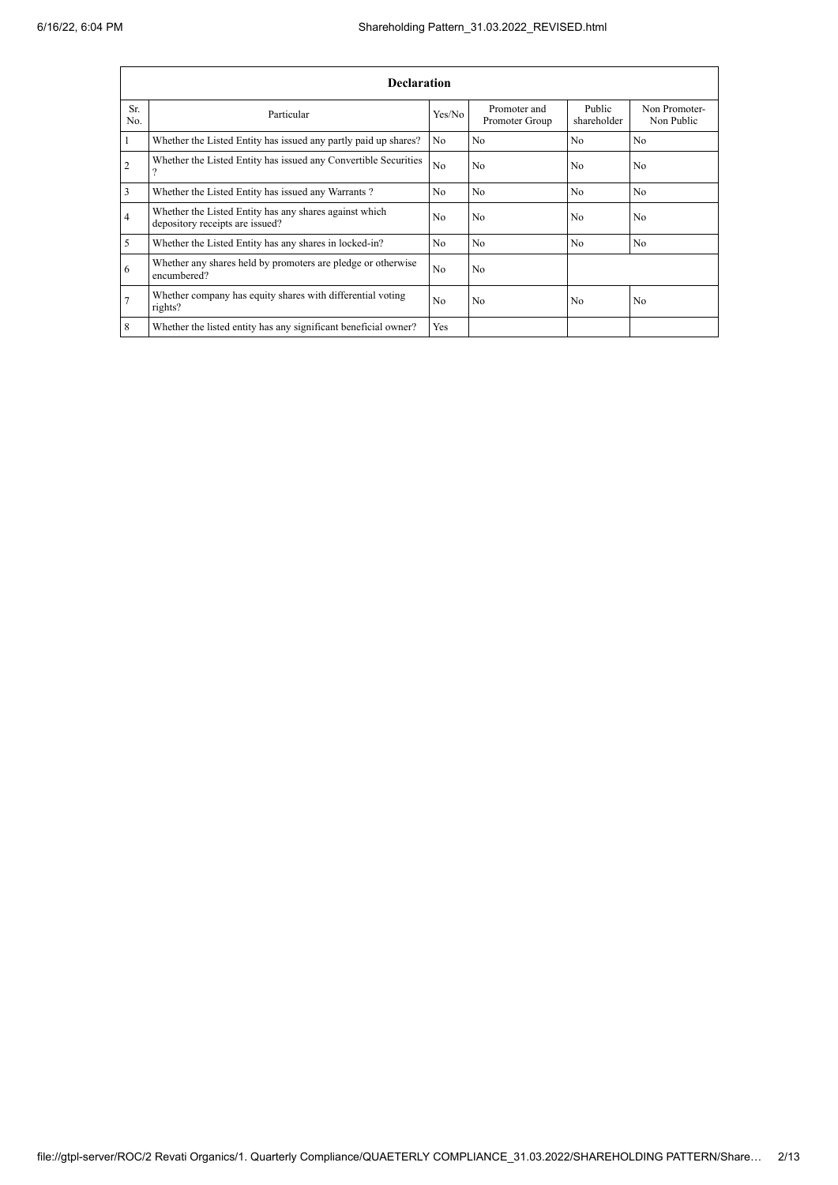|                | <b>Declaration</b>                                                                        |                |                                |                       |                             |  |  |  |  |
|----------------|-------------------------------------------------------------------------------------------|----------------|--------------------------------|-----------------------|-----------------------------|--|--|--|--|
| Sr.<br>No.     | Particular                                                                                | Yes/No         | Promoter and<br>Promoter Group | Public<br>shareholder | Non Promoter-<br>Non Public |  |  |  |  |
|                | Whether the Listed Entity has issued any partly paid up shares?                           | No             | N <sub>o</sub>                 | No                    | N <sub>o</sub>              |  |  |  |  |
| $\overline{2}$ | Whether the Listed Entity has issued any Convertible Securities<br>9                      | N <sub>o</sub> | No                             | N <sub>0</sub>        | N <sub>0</sub>              |  |  |  |  |
| 3              | Whether the Listed Entity has issued any Warrants?                                        | No             | N <sub>o</sub>                 | No.                   | No.                         |  |  |  |  |
| 4              | Whether the Listed Entity has any shares against which<br>depository receipts are issued? | N <sub>0</sub> | No                             | N <sub>0</sub>        | N <sub>0</sub>              |  |  |  |  |
| 5              | Whether the Listed Entity has any shares in locked-in?                                    | No             | N <sub>o</sub>                 | N <sub>0</sub>        | N <sub>o</sub>              |  |  |  |  |
| 6              | Whether any shares held by promoters are pledge or otherwise<br>encumbered?               | N <sub>o</sub> | No                             |                       |                             |  |  |  |  |
|                | Whether company has equity shares with differential voting<br>rights?                     | N <sub>o</sub> | No                             | No                    | No                          |  |  |  |  |
| 8              | Whether the listed entity has any significant beneficial owner?                           | Yes            |                                |                       |                             |  |  |  |  |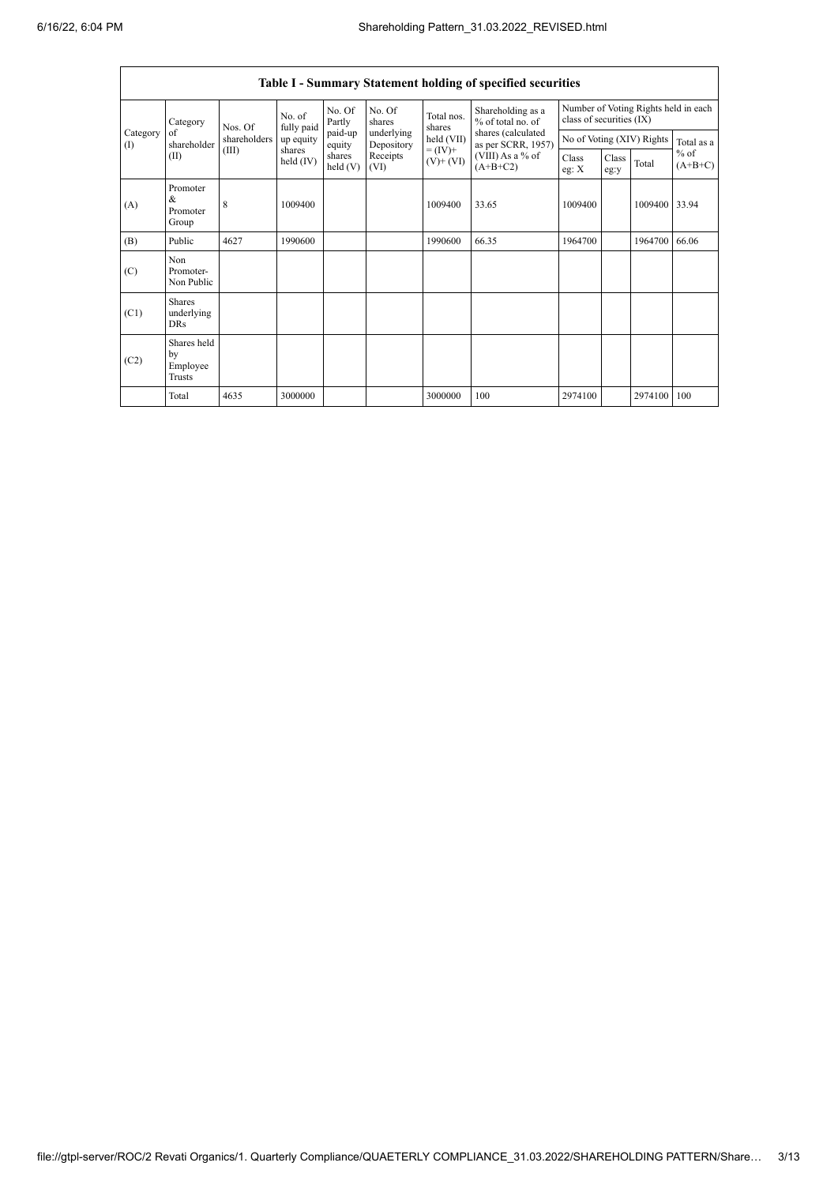|                          | Table I - Summary Statement holding of specified securities |                      |                       |                   |                                              |                                            |                                                                            |                |               |                           |                                   |
|--------------------------|-------------------------------------------------------------|----------------------|-----------------------|-------------------|----------------------------------------------|--------------------------------------------|----------------------------------------------------------------------------|----------------|---------------|---------------------------|-----------------------------------|
| Category                 | Nos. Of                                                     | No. of<br>fully paid | No. Of<br>Partly      | No. Of<br>shares  | Total nos.<br>shares                         | Shareholding as a<br>% of total no. of     | Number of Voting Rights held in each<br>class of securities (IX)           |                |               |                           |                                   |
| Category<br>$($ $\Gamma$ | of<br>shareholder                                           | shareholders         | up equity             | paid-up<br>equity | underlying<br>Depository<br>Receipts<br>(VI) | held (VII)<br>$= (IV) +$<br>$(V)$ + $(VI)$ | shares (calculated<br>as per SCRR, 1957)<br>(VIII) As a % of<br>$(A+B+C2)$ |                |               | No of Voting (XIV) Rights | Total as a<br>$%$ of<br>$(A+B+C)$ |
| (II)                     |                                                             | (III)                | shares<br>held $(IV)$ | shares<br>held(V) |                                              |                                            |                                                                            | Class<br>eg: X | Class<br>eg:y | Total                     |                                   |
| (A)                      | Promoter<br>&<br>Promoter<br>Group                          | 8                    | 1009400               |                   |                                              | 1009400                                    | 33.65                                                                      | 1009400        |               | 1009400                   | 33.94                             |
| (B)                      | Public                                                      | 4627                 | 1990600               |                   |                                              | 1990600                                    | 66.35                                                                      | 1964700        |               | 1964700                   | 66.06                             |
| (C)                      | Non<br>Promoter-<br>Non Public                              |                      |                       |                   |                                              |                                            |                                                                            |                |               |                           |                                   |
| (C1)                     | <b>Shares</b><br>underlying<br>DRs                          |                      |                       |                   |                                              |                                            |                                                                            |                |               |                           |                                   |
| (C2)                     | Shares held<br>by<br>Employee<br>Trusts                     |                      |                       |                   |                                              |                                            |                                                                            |                |               |                           |                                   |
|                          | Total                                                       | 4635                 | 3000000               |                   |                                              | 3000000                                    | 100                                                                        | 2974100        |               | 2974100                   | 100                               |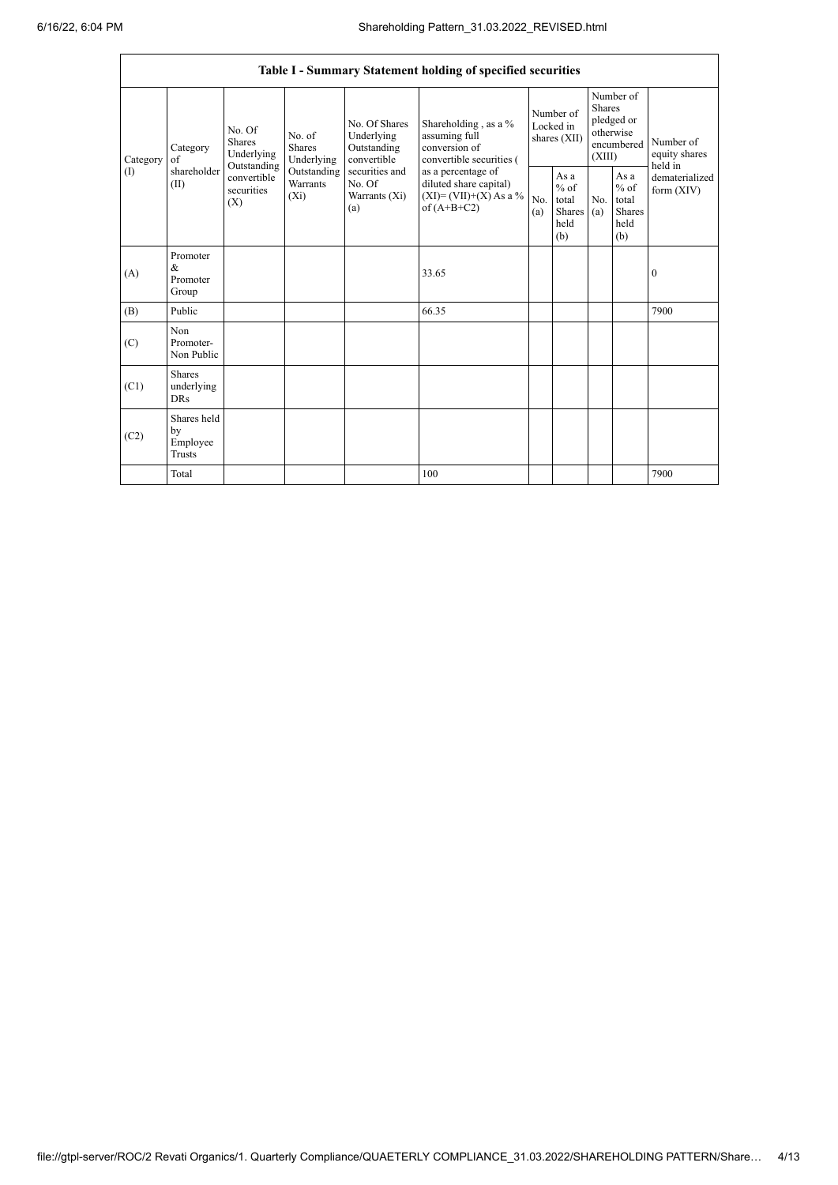|                               |                                                |                                                                                              |                                |                                                           | Table I - Summary Statement holding of specified securities                                     |                                        |                                                  |                                                                               |                                                  |                                       |
|-------------------------------|------------------------------------------------|----------------------------------------------------------------------------------------------|--------------------------------|-----------------------------------------------------------|-------------------------------------------------------------------------------------------------|----------------------------------------|--------------------------------------------------|-------------------------------------------------------------------------------|--------------------------------------------------|---------------------------------------|
| Category<br>of<br>(1)<br>(II) | Category                                       | No. Of<br>Shares<br>Underlying<br>Outstanding<br>convertible<br>securities<br>$(X_i)$<br>(X) | No. of<br>Shares<br>Underlying | No. Of Shares<br>Underlying<br>Outstanding<br>convertible | Shareholding, as a %<br>assuming full<br>conversion of<br>convertible securities (              | Number of<br>Locked in<br>shares (XII) |                                                  | Number of<br><b>Shares</b><br>pledged or<br>otherwise<br>encumbered<br>(XIII) |                                                  | Number of<br>equity shares<br>held in |
|                               | shareholder                                    |                                                                                              | Outstanding<br>Warrants        | securities and<br>No. Of<br>Warrants (Xi)<br>(a)          | as a percentage of<br>diluted share capital)<br>$(XI)=(VII)+(X) As a %$<br>No.<br>of $(A+B+C2)$ |                                        | As a<br>$%$ of<br>total<br>Shares<br>held<br>(b) | No.<br>(a)                                                                    | As a<br>$%$ of<br>total<br>Shares<br>held<br>(b) | dematerialized<br>form $(XIV)$        |
| (A)                           | Promoter<br>$\&$<br>Promoter<br>Group          |                                                                                              |                                |                                                           | 33.65                                                                                           |                                        |                                                  |                                                                               |                                                  | $\bf{0}$                              |
| (B)                           | Public                                         |                                                                                              |                                |                                                           | 66.35                                                                                           |                                        |                                                  |                                                                               |                                                  | 7900                                  |
| (C)                           | Non<br>Promoter-<br>Non Public                 |                                                                                              |                                |                                                           |                                                                                                 |                                        |                                                  |                                                                               |                                                  |                                       |
| (C1)                          | <b>Shares</b><br>underlying<br><b>DRs</b>      |                                                                                              |                                |                                                           |                                                                                                 |                                        |                                                  |                                                                               |                                                  |                                       |
| (C2)                          | Shares held<br>by<br>Employee<br><b>Trusts</b> |                                                                                              |                                |                                                           |                                                                                                 |                                        |                                                  |                                                                               |                                                  |                                       |
|                               | Total                                          |                                                                                              |                                |                                                           | 100                                                                                             |                                        |                                                  |                                                                               |                                                  | 7900                                  |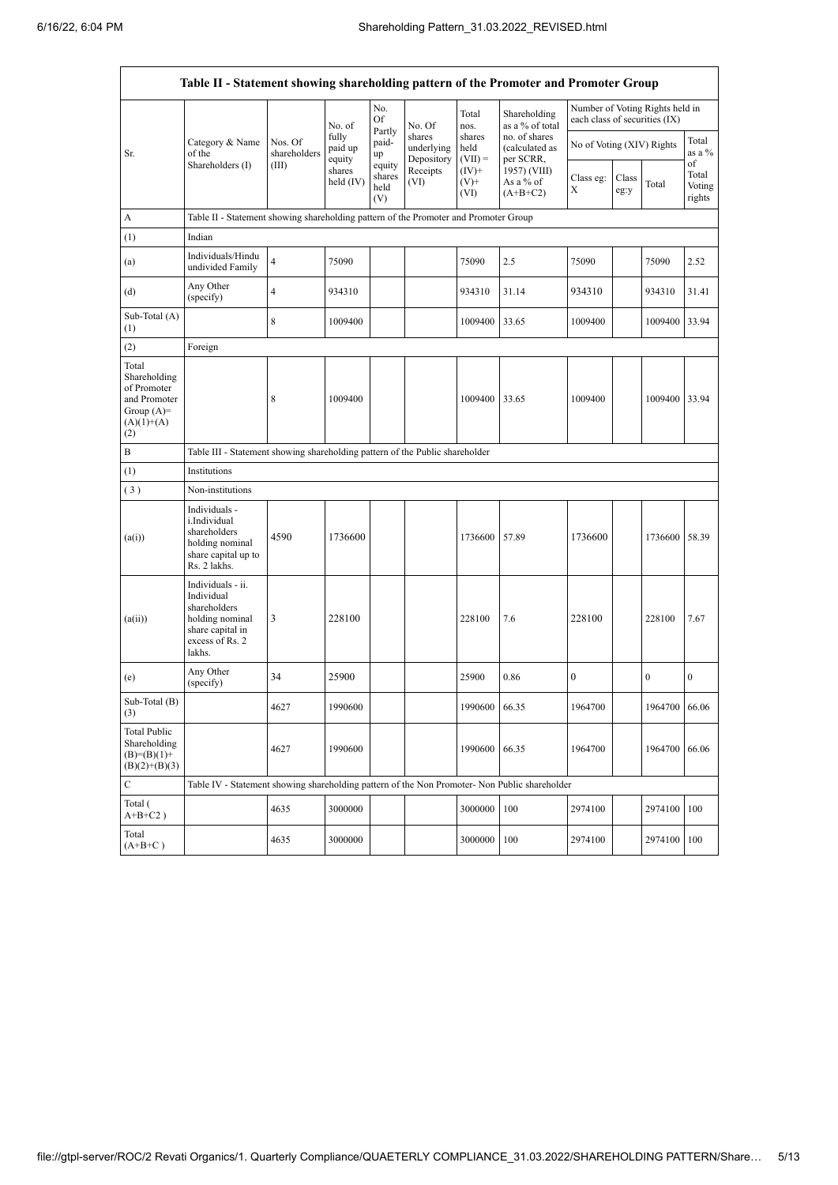|                                                                                             | Table II - Statement showing shareholding pattern of the Promoter and Promoter Group                                |                                                                                      |                            |                                 |                                    |                             |                                              |                                                                  |               |                |                           |  |
|---------------------------------------------------------------------------------------------|---------------------------------------------------------------------------------------------------------------------|--------------------------------------------------------------------------------------|----------------------------|---------------------------------|------------------------------------|-----------------------------|----------------------------------------------|------------------------------------------------------------------|---------------|----------------|---------------------------|--|
|                                                                                             |                                                                                                                     |                                                                                      | No. of                     | No.<br>Of                       | No. Of                             | Total<br>nos.               | Shareholding<br>as a % of total              | Number of Voting Rights held in<br>each class of securities (IX) |               |                |                           |  |
| Sr.                                                                                         | Category & Name<br>of the<br>Shareholders (I)                                                                       | Nos. Of<br>shareholders<br>(III)                                                     | fully<br>paid up<br>equity | Partly<br>paid-<br>up<br>equity | shares<br>underlying<br>Depository | shares<br>held<br>$(VII) =$ | no. of shares<br>(calculated as<br>per SCRR, | No of Voting (XIV) Rights                                        |               |                | Total<br>as a %<br>of     |  |
|                                                                                             |                                                                                                                     |                                                                                      | shares<br>held (IV)        | shares<br>held<br>(V)           | Receipts<br>(VI)                   | $(IV)^+$<br>$(V)$ +<br>(VI) | 1957) (VIII)<br>As a % of<br>$(A+B+C2)$      | Class eg:<br>Х                                                   | Class<br>eg:y | Total          | Total<br>Voting<br>rights |  |
| A                                                                                           |                                                                                                                     | Table II - Statement showing shareholding pattern of the Promoter and Promoter Group |                            |                                 |                                    |                             |                                              |                                                                  |               |                |                           |  |
| (1)                                                                                         | Indian                                                                                                              |                                                                                      |                            |                                 |                                    |                             |                                              |                                                                  |               |                |                           |  |
| (a)                                                                                         | Individuals/Hindu<br>undivided Family                                                                               | $\overline{\mathbf{4}}$                                                              | 75090                      |                                 |                                    | 75090                       | 2.5                                          | 75090                                                            |               | 75090          | 2.52                      |  |
| (d)                                                                                         | Any Other<br>(specify)                                                                                              | 4                                                                                    | 934310                     |                                 |                                    | 934310                      | 31.14                                        | 934310                                                           |               | 934310         | 31.41                     |  |
| Sub-Total (A)<br>(1)                                                                        |                                                                                                                     | 8                                                                                    | 1009400                    |                                 |                                    | 1009400                     | 33.65                                        | 1009400                                                          |               | 1009400        | 33.94                     |  |
| (2)                                                                                         | Foreign                                                                                                             |                                                                                      |                            |                                 |                                    |                             |                                              |                                                                  |               |                |                           |  |
| Total<br>Shareholding<br>of Promoter<br>and Promoter<br>Group $(A)=$<br>$(A)(1)+(A)$<br>(2) |                                                                                                                     | 8                                                                                    | 1009400                    |                                 |                                    | 1009400                     | 33.65                                        | 1009400                                                          |               | 1009400        | 33.94                     |  |
| B                                                                                           | Table III - Statement showing shareholding pattern of the Public shareholder                                        |                                                                                      |                            |                                 |                                    |                             |                                              |                                                                  |               |                |                           |  |
| (1)                                                                                         | Institutions                                                                                                        |                                                                                      |                            |                                 |                                    |                             |                                              |                                                                  |               |                |                           |  |
| (3)                                                                                         | Non-institutions                                                                                                    |                                                                                      |                            |                                 |                                    |                             |                                              |                                                                  |               |                |                           |  |
| (a(i))                                                                                      | Individuals -<br>i.Individual<br>shareholders<br>holding nominal<br>share capital up to<br>Rs. 2 lakhs.             | 4590                                                                                 | 1736600                    |                                 |                                    | 1736600                     | 57.89                                        | 1736600                                                          |               | 1736600        | 58.39                     |  |
| (a(ii))                                                                                     | Individuals - ii.<br>Individual<br>shareholders<br>holding nominal<br>share capital in<br>excess of Rs. 2<br>lakhs. | 3                                                                                    | 228100                     |                                 |                                    | 228100                      | 7.6                                          | 228100                                                           |               | 228100         | 7.67                      |  |
| (e)                                                                                         | Any Other<br>(specify)                                                                                              | 34                                                                                   | 25900                      |                                 |                                    | 25900                       | 0.86                                         | $\boldsymbol{0}$                                                 |               | $\overline{0}$ | $\boldsymbol{0}$          |  |
| Sub-Total (B)<br>(3)                                                                        |                                                                                                                     | 4627                                                                                 | 1990600                    |                                 |                                    | 1990600 66.35               |                                              | 1964700                                                          |               | 1964700 66.06  |                           |  |
| <b>Total Public</b><br>Shareholding<br>$(B)=(B)(1)+$<br>$(B)(2)+(B)(3)$                     |                                                                                                                     | 4627                                                                                 | 1990600                    |                                 |                                    | 1990600                     | 66.35                                        | 1964700                                                          |               | 1964700        | 66.06                     |  |
| $\mathbf C$                                                                                 | Table IV - Statement showing shareholding pattern of the Non Promoter- Non Public shareholder                       |                                                                                      |                            |                                 |                                    |                             |                                              |                                                                  |               |                |                           |  |
| Total (<br>$A+B+C2$ )                                                                       |                                                                                                                     | 4635                                                                                 | 3000000                    |                                 |                                    | 3000000                     | 100                                          | 2974100                                                          |               | 2974100        | 100                       |  |
| Total<br>$(A+B+C)$                                                                          |                                                                                                                     | 4635                                                                                 | 3000000                    |                                 |                                    | 3000000                     | 100                                          | 2974100                                                          |               | 2974100        | 100                       |  |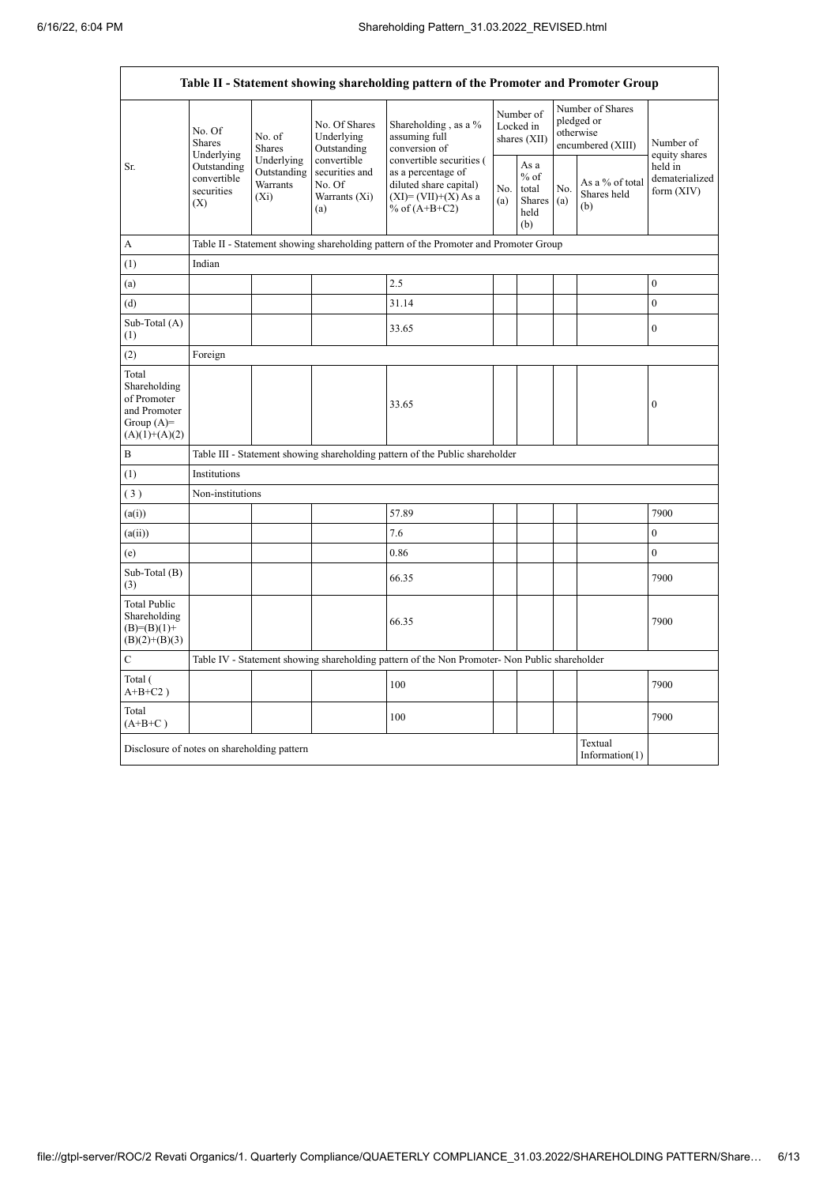| Table II - Statement showing shareholding pattern of the Promoter and Promoter Group    |                                                                          |                                                  |                                                                 |                                                                                                                                                                                  |  |                                                  |            |                                                                  |                                         |
|-----------------------------------------------------------------------------------------|--------------------------------------------------------------------------|--------------------------------------------------|-----------------------------------------------------------------|----------------------------------------------------------------------------------------------------------------------------------------------------------------------------------|--|--------------------------------------------------|------------|------------------------------------------------------------------|-----------------------------------------|
| Sr.                                                                                     | No. Of<br><b>Shares</b><br>Underlying                                    | No. of<br>Shares                                 | No. Of Shares<br>Underlying<br>Outstanding                      | Shareholding, as a %<br>assuming full<br>conversion of<br>convertible securities (<br>as a percentage of<br>diluted share capital)<br>$(XI) = (VII)+(X) As a$<br>% of $(A+B+C2)$ |  | Number of<br>Locked in<br>shares (XII)           |            | Number of Shares<br>pledged or<br>otherwise<br>encumbered (XIII) | Number of<br>equity shares              |
|                                                                                         | Outstanding<br>convertible<br>securities<br>(X)                          | Underlying<br>Outstanding<br>Warrants<br>$(X_i)$ | convertible<br>securities and<br>No. Of<br>Warrants (Xi)<br>(a) |                                                                                                                                                                                  |  | As a<br>$%$ of<br>total<br>Shares<br>held<br>(b) | No.<br>(a) | As a % of total<br>Shares held<br>(b)                            | held in<br>dematerialized<br>form (XIV) |
| A                                                                                       |                                                                          |                                                  |                                                                 | Table II - Statement showing shareholding pattern of the Promoter and Promoter Group                                                                                             |  |                                                  |            |                                                                  |                                         |
| (1)                                                                                     | Indian                                                                   |                                                  |                                                                 |                                                                                                                                                                                  |  |                                                  |            |                                                                  |                                         |
| (a)                                                                                     |                                                                          |                                                  |                                                                 | 2.5                                                                                                                                                                              |  |                                                  |            |                                                                  | $\boldsymbol{0}$                        |
| (d)                                                                                     |                                                                          |                                                  |                                                                 | 31.14                                                                                                                                                                            |  |                                                  |            |                                                                  | $\overline{0}$                          |
| Sub-Total (A)<br>(1)                                                                    |                                                                          |                                                  |                                                                 | 33.65                                                                                                                                                                            |  |                                                  |            |                                                                  | $\boldsymbol{0}$                        |
| (2)                                                                                     | Foreign                                                                  |                                                  |                                                                 |                                                                                                                                                                                  |  |                                                  |            |                                                                  |                                         |
| Total<br>Shareholding<br>of Promoter<br>and Promoter<br>Group $(A)=$<br>$(A)(1)+(A)(2)$ |                                                                          |                                                  |                                                                 | 33.65                                                                                                                                                                            |  |                                                  |            |                                                                  | $\boldsymbol{0}$                        |
| B                                                                                       |                                                                          |                                                  |                                                                 | Table III - Statement showing shareholding pattern of the Public shareholder                                                                                                     |  |                                                  |            |                                                                  |                                         |
| (1)                                                                                     | Institutions                                                             |                                                  |                                                                 |                                                                                                                                                                                  |  |                                                  |            |                                                                  |                                         |
| (3)                                                                                     | Non-institutions                                                         |                                                  |                                                                 |                                                                                                                                                                                  |  |                                                  |            |                                                                  |                                         |
| (a(i))                                                                                  |                                                                          |                                                  |                                                                 | 57.89                                                                                                                                                                            |  |                                                  |            |                                                                  | 7900                                    |
| (a(ii))                                                                                 |                                                                          |                                                  |                                                                 | 7.6                                                                                                                                                                              |  |                                                  |            |                                                                  | $\mathbf{0}$                            |
| (e)                                                                                     |                                                                          |                                                  |                                                                 | 0.86                                                                                                                                                                             |  |                                                  |            |                                                                  | $\overline{0}$                          |
| Sub-Total (B)<br>(3)                                                                    |                                                                          |                                                  |                                                                 | 66.35                                                                                                                                                                            |  |                                                  |            |                                                                  | 7900                                    |
| <b>Total Public</b><br>Shareholding<br>$(B)=(B)(1)+$<br>$(B)(2)+(B)(3)$                 |                                                                          |                                                  |                                                                 | 66.35                                                                                                                                                                            |  |                                                  |            |                                                                  | 7900                                    |
| $\mathbf C$                                                                             |                                                                          |                                                  |                                                                 | Table IV - Statement showing shareholding pattern of the Non Promoter- Non Public shareholder                                                                                    |  |                                                  |            |                                                                  |                                         |
| Total (<br>$A+B+C2$ )                                                                   |                                                                          |                                                  |                                                                 | 100                                                                                                                                                                              |  |                                                  |            |                                                                  | 7900                                    |
| Total<br>$(A+B+C)$                                                                      |                                                                          |                                                  |                                                                 | 100                                                                                                                                                                              |  |                                                  |            |                                                                  | 7900                                    |
|                                                                                         | Textual<br>Disclosure of notes on shareholding pattern<br>Information(1) |                                                  |                                                                 |                                                                                                                                                                                  |  |                                                  |            |                                                                  |                                         |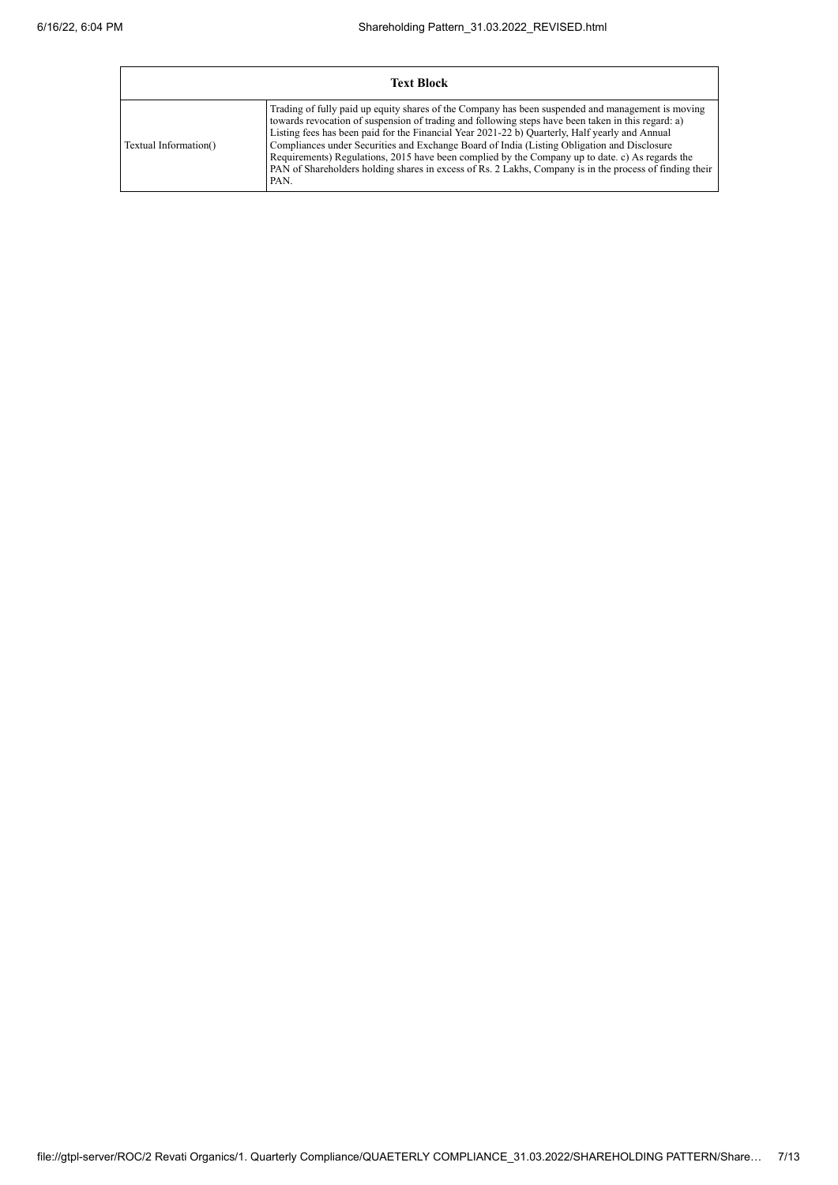| <b>Text Block</b>     |                                                                                                                                                                                                                                                                                                                                                                                                                                                                                                                                                                                                                                |  |  |  |  |  |
|-----------------------|--------------------------------------------------------------------------------------------------------------------------------------------------------------------------------------------------------------------------------------------------------------------------------------------------------------------------------------------------------------------------------------------------------------------------------------------------------------------------------------------------------------------------------------------------------------------------------------------------------------------------------|--|--|--|--|--|
| Textual Information() | Trading of fully paid up equity shares of the Company has been suspended and management is moving<br>towards revocation of suspension of trading and following steps have been taken in this regard: a)<br>Listing fees has been paid for the Financial Year 2021-22 b) Quarterly, Half yearly and Annual<br>Compliances under Securities and Exchange Board of India (Listing Obligation and Disclosure<br>Requirements) Regulations, 2015 have been complied by the Company up to date. c) As regards the<br>PAN of Shareholders holding shares in excess of Rs. 2 Lakhs, Company is in the process of finding their<br>PAN. |  |  |  |  |  |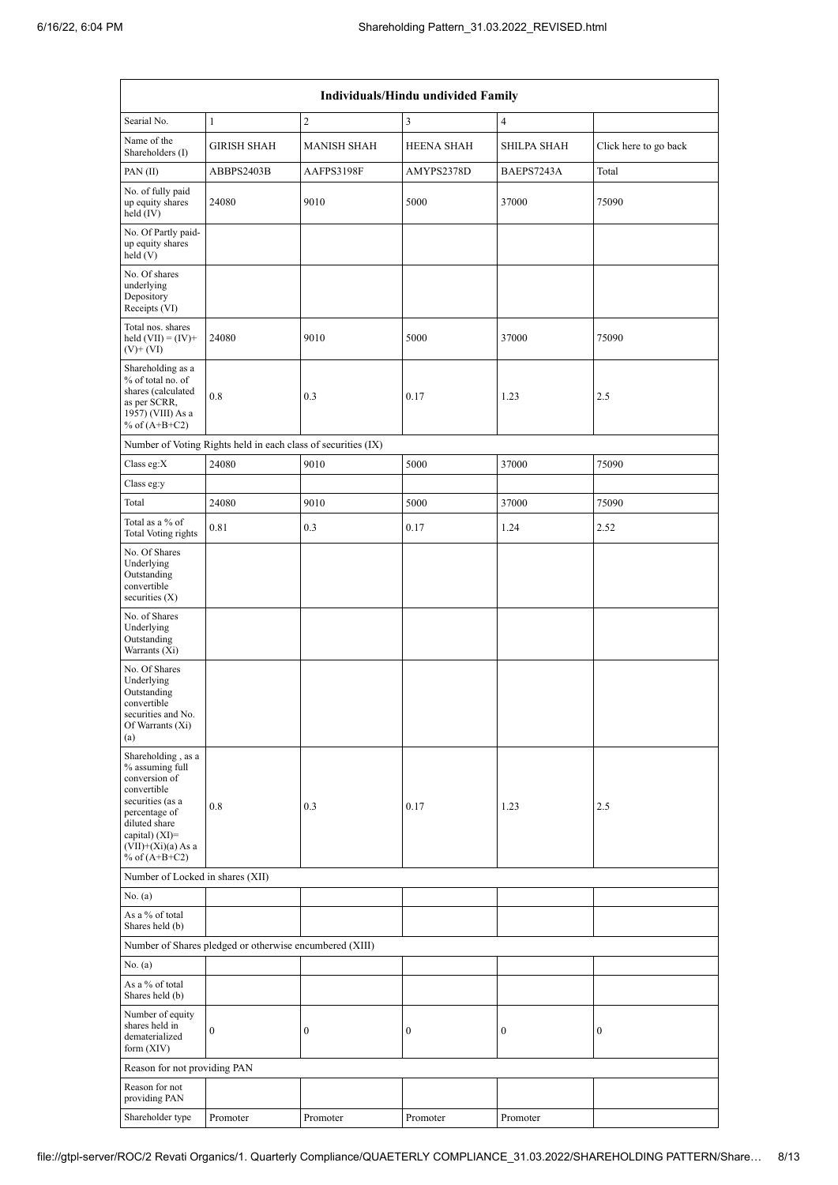| Individuals/Hindu undivided Family                                                                                                                                                       |                                                               |                    |                   |                  |                       |  |  |  |
|------------------------------------------------------------------------------------------------------------------------------------------------------------------------------------------|---------------------------------------------------------------|--------------------|-------------------|------------------|-----------------------|--|--|--|
| Searial No.                                                                                                                                                                              | $\mathbf{1}$                                                  | $\overline{c}$     | 3                 | $\overline{4}$   |                       |  |  |  |
| Name of the<br>Shareholders (I)                                                                                                                                                          | <b>GIRISH SHAH</b>                                            | <b>MANISH SHAH</b> | <b>HEENA SHAH</b> | SHILPA SHAH      | Click here to go back |  |  |  |
| PAN(II)                                                                                                                                                                                  | ABBPS2403B                                                    | AAFPS3198F         | AMYPS2378D        | BAEPS7243A       | Total                 |  |  |  |
| No. of fully paid<br>up equity shares<br>held (IV)                                                                                                                                       | 24080                                                         | 9010               | 5000              | 37000            | 75090                 |  |  |  |
| No. Of Partly paid-<br>up equity shares<br>held(V)                                                                                                                                       |                                                               |                    |                   |                  |                       |  |  |  |
| No. Of shares<br>underlying<br>Depository<br>Receipts (VI)                                                                                                                               |                                                               |                    |                   |                  |                       |  |  |  |
| Total nos. shares<br>held $(VII) = (IV) +$<br>$(V)$ + $(VI)$                                                                                                                             | 24080                                                         | 9010               | 5000              | 37000            | 75090                 |  |  |  |
| Shareholding as a<br>% of total no. of<br>shares (calculated<br>as per SCRR,<br>1957) (VIII) As a<br>% of $(A+B+C2)$                                                                     | 0.8                                                           | 0.3                | 0.17              | 1.23             | 2.5                   |  |  |  |
|                                                                                                                                                                                          | Number of Voting Rights held in each class of securities (IX) |                    |                   |                  |                       |  |  |  |
| Class eg:X                                                                                                                                                                               | 24080                                                         | 9010               | 5000              | 37000            | 75090                 |  |  |  |
| Class eg:y                                                                                                                                                                               |                                                               |                    |                   |                  |                       |  |  |  |
| Total                                                                                                                                                                                    | 24080                                                         | 9010               | 5000              | 37000            | 75090                 |  |  |  |
| Total as a % of<br>Total Voting rights                                                                                                                                                   | 0.81                                                          | 0.3                | 0.17              | 1.24             | 2.52                  |  |  |  |
| No. Of Shares<br>Underlying<br>Outstanding<br>convertible<br>securities $(X)$                                                                                                            |                                                               |                    |                   |                  |                       |  |  |  |
| No. of Shares<br>Underlying<br>Outstanding<br>Warrants $(X_i)$                                                                                                                           |                                                               |                    |                   |                  |                       |  |  |  |
| No. Of Shares<br>Underlying<br>Outstanding<br>convertible<br>securities and No.<br>Of Warrants (Xi)<br>(a)                                                                               |                                                               |                    |                   |                  |                       |  |  |  |
| Shareholding, as a<br>% assuming full<br>conversion of<br>convertible<br>securities (as a<br>percentage of<br>diluted share<br>capital) (XI)=<br>$(VII)+(Xi)(a)$ As a<br>% of $(A+B+C2)$ | 0.8                                                           | 0.3                | 0.17              | 1.23             | 2.5                   |  |  |  |
| Number of Locked in shares (XII)                                                                                                                                                         |                                                               |                    |                   |                  |                       |  |  |  |
| No. (a)                                                                                                                                                                                  |                                                               |                    |                   |                  |                       |  |  |  |
| As a % of total<br>Shares held (b)                                                                                                                                                       |                                                               |                    |                   |                  |                       |  |  |  |
|                                                                                                                                                                                          | Number of Shares pledged or otherwise encumbered (XIII)       |                    |                   |                  |                       |  |  |  |
| No. (a)<br>As a % of total<br>Shares held (b)                                                                                                                                            |                                                               |                    |                   |                  |                       |  |  |  |
| Number of equity<br>shares held in<br>dematerialized<br>form $(XIV)$                                                                                                                     | $\boldsymbol{0}$                                              | $\boldsymbol{0}$   | $\boldsymbol{0}$  | $\boldsymbol{0}$ | $\boldsymbol{0}$      |  |  |  |
| Reason for not providing PAN                                                                                                                                                             |                                                               |                    |                   |                  |                       |  |  |  |
| Reason for not<br>providing PAN                                                                                                                                                          |                                                               |                    |                   |                  |                       |  |  |  |
| Shareholder type                                                                                                                                                                         | Promoter                                                      | Promoter           | Promoter          | Promoter         |                       |  |  |  |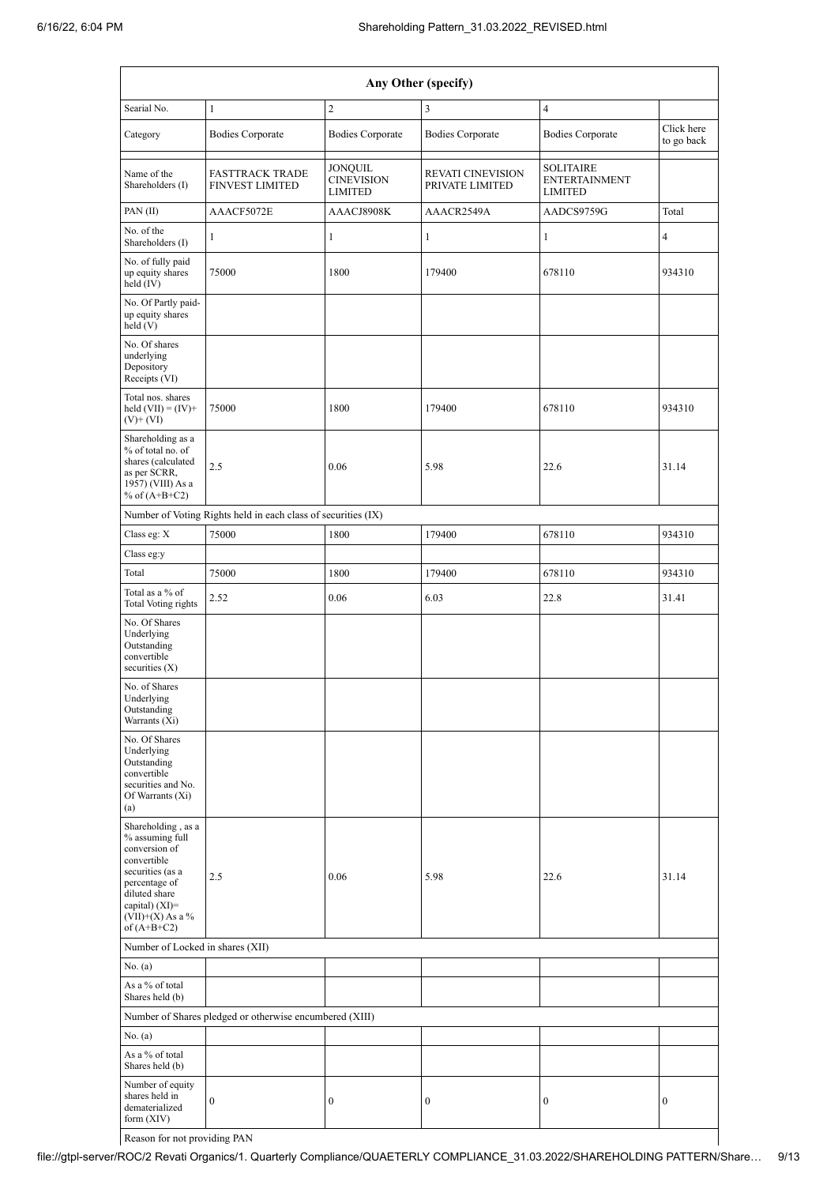| Any Other (specify)                                                                                                                                                                    |                                                               |                                         |                                             |                                                            |                          |  |  |  |
|----------------------------------------------------------------------------------------------------------------------------------------------------------------------------------------|---------------------------------------------------------------|-----------------------------------------|---------------------------------------------|------------------------------------------------------------|--------------------------|--|--|--|
| Searial No.                                                                                                                                                                            | $\mathbf{1}$                                                  | $\sqrt{2}$                              | 3                                           | $\overline{4}$                                             |                          |  |  |  |
| Category                                                                                                                                                                               | <b>Bodies Corporate</b>                                       | <b>Bodies Corporate</b>                 | <b>Bodies Corporate</b>                     | <b>Bodies Corporate</b>                                    | Click here<br>to go back |  |  |  |
| Name of the<br>Shareholders (I)                                                                                                                                                        | <b>FASTTRACK TRADE</b><br><b>FINVEST LIMITED</b>              | JONQUIL<br><b>CINEVISION</b><br>LIMITED | <b>REVATI CINEVISION</b><br>PRIVATE LIMITED | <b>SOLITAIRE</b><br><b>ENTERTAINMENT</b><br><b>LIMITED</b> |                          |  |  |  |
| PAN(II)                                                                                                                                                                                | AAACF5072E                                                    | AAACJ8908K                              | AAACR2549A                                  | AADCS9759G                                                 | Total                    |  |  |  |
| No. of the<br>Shareholders (I)                                                                                                                                                         | $\mathbf{1}$                                                  | $\mathbf{1}$                            | $\mathbf{1}$                                | $\mathbf{1}$                                               | $\overline{4}$           |  |  |  |
| No. of fully paid<br>up equity shares<br>held (IV)                                                                                                                                     | 75000                                                         | 1800                                    | 179400                                      | 678110                                                     | 934310                   |  |  |  |
| No. Of Partly paid-<br>up equity shares<br>held (V)                                                                                                                                    |                                                               |                                         |                                             |                                                            |                          |  |  |  |
| No. Of shares<br>underlying<br>Depository<br>Receipts (VI)                                                                                                                             |                                                               |                                         |                                             |                                                            |                          |  |  |  |
| Total nos. shares<br>held $(VII) = (IV) +$<br>$(V)$ + $(VI)$                                                                                                                           | 75000                                                         | 1800                                    | 179400                                      | 678110                                                     | 934310                   |  |  |  |
| Shareholding as a<br>% of total no. of<br>shares (calculated<br>as per SCRR,<br>1957) (VIII) As a<br>% of $(A+B+C2)$                                                                   | 2.5                                                           | 0.06                                    | 5.98                                        | 22.6                                                       | 31.14                    |  |  |  |
|                                                                                                                                                                                        | Number of Voting Rights held in each class of securities (IX) |                                         |                                             |                                                            |                          |  |  |  |
| Class eg: X                                                                                                                                                                            | 75000                                                         | 1800                                    | 179400                                      | 678110                                                     | 934310                   |  |  |  |
| Class eg:y                                                                                                                                                                             |                                                               |                                         |                                             |                                                            |                          |  |  |  |
| Total                                                                                                                                                                                  | 75000                                                         | 1800                                    | 179400                                      | 678110                                                     | 934310                   |  |  |  |
| Total as a % of<br><b>Total Voting rights</b>                                                                                                                                          | 2.52                                                          | 0.06                                    | 6.03                                        | 22.8                                                       | 31.41                    |  |  |  |
| No. Of Shares<br>Underlying<br>Outstanding<br>convertible<br>securities $(X)$                                                                                                          |                                                               |                                         |                                             |                                                            |                          |  |  |  |
| No. of Shares<br>Underlying<br>Outstanding<br>Warrants (Xi)                                                                                                                            |                                                               |                                         |                                             |                                                            |                          |  |  |  |
| No. Of Shares<br>Underlying<br>Outstanding<br>convertible<br>securities and No.<br>Of Warrants (Xi)<br>(a)                                                                             |                                                               |                                         |                                             |                                                            |                          |  |  |  |
| Shareholding, as a<br>% assuming full<br>conversion of<br>convertible<br>securities (as a<br>percentage of<br>diluted share<br>capital) $(XI)=$<br>$(VII)+(X)$ As a %<br>of $(A+B+C2)$ | 2.5                                                           | 0.06                                    | 5.98                                        | 22.6                                                       | 31.14                    |  |  |  |
| Number of Locked in shares (XII)                                                                                                                                                       |                                                               |                                         |                                             |                                                            |                          |  |  |  |
| No. (a)                                                                                                                                                                                |                                                               |                                         |                                             |                                                            |                          |  |  |  |
| As a % of total<br>Shares held (b)                                                                                                                                                     |                                                               |                                         |                                             |                                                            |                          |  |  |  |
|                                                                                                                                                                                        | Number of Shares pledged or otherwise encumbered (XIII)       |                                         |                                             |                                                            |                          |  |  |  |
| No. (a)                                                                                                                                                                                |                                                               |                                         |                                             |                                                            |                          |  |  |  |
| As a % of total<br>Shares held (b)                                                                                                                                                     |                                                               |                                         |                                             |                                                            |                          |  |  |  |
| Number of equity<br>shares held in<br>dematerialized<br>form $(XIV)$                                                                                                                   | $\mathbf{0}$                                                  | $\boldsymbol{0}$                        | $\boldsymbol{0}$                            | $\boldsymbol{0}$                                           | $\boldsymbol{0}$         |  |  |  |

Reason for not providing PAN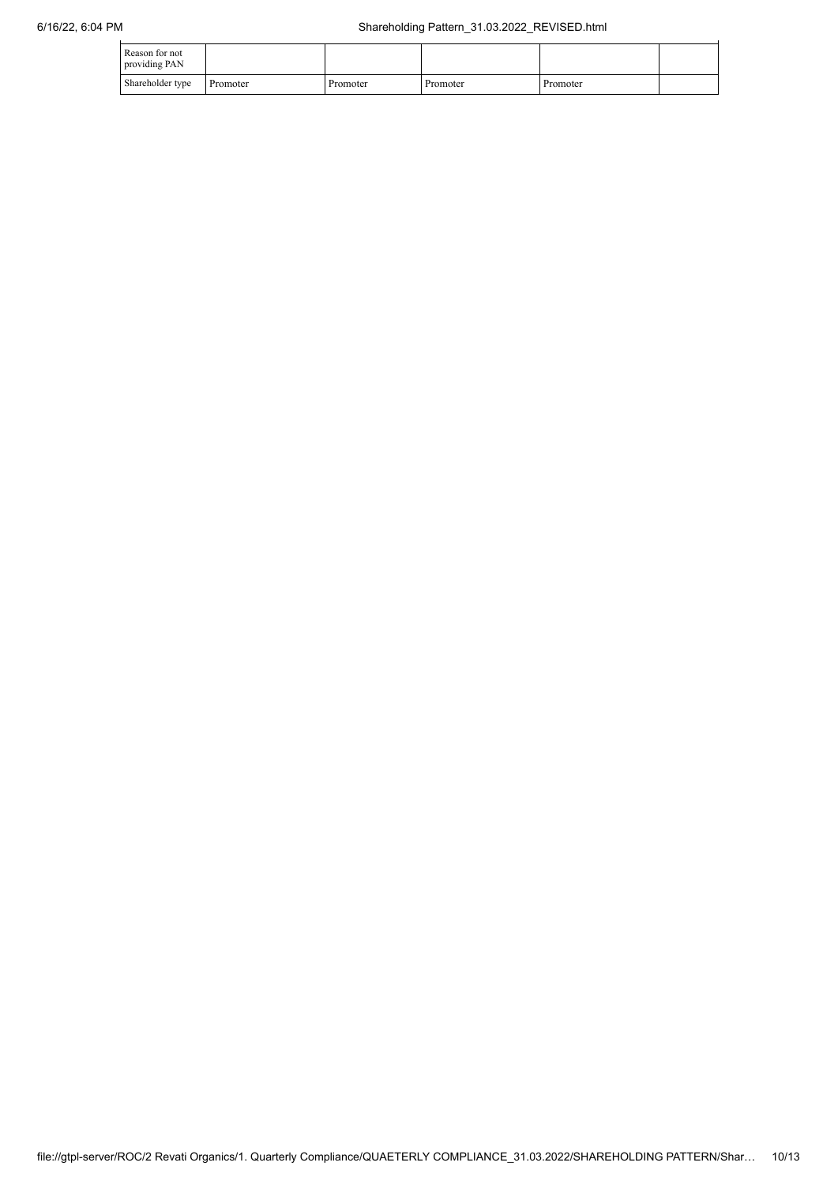| Reason for not<br>providing PAN |          |          |          |          |  |
|---------------------------------|----------|----------|----------|----------|--|
| Shareholder type                | Promoter | Promoter | Promoter | Promoter |  |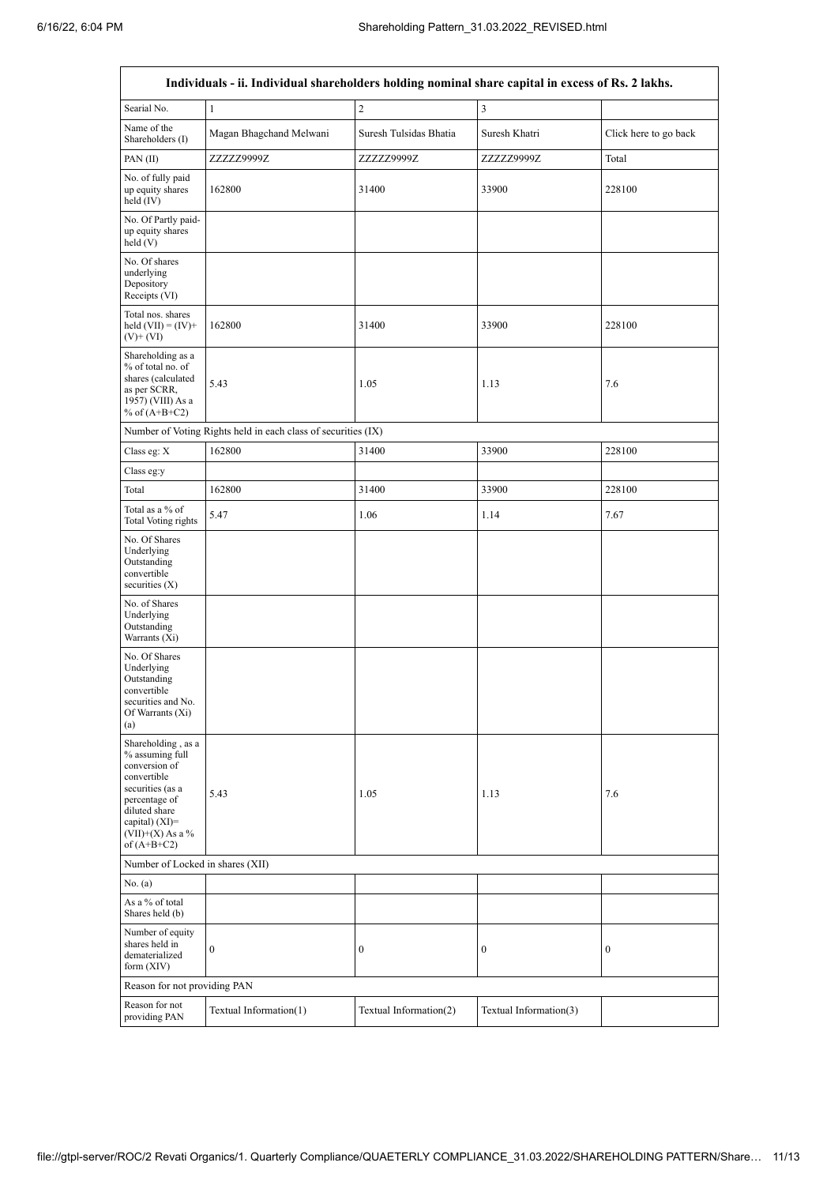$\mathbf{r}$ 

 $\overline{\phantom{0}}$ 

| Individuals - ii. Individual shareholders holding nominal share capital in excess of Rs. 2 lakhs.                                                                                      |                                                               |                        |                        |                       |  |  |  |  |  |
|----------------------------------------------------------------------------------------------------------------------------------------------------------------------------------------|---------------------------------------------------------------|------------------------|------------------------|-----------------------|--|--|--|--|--|
| Searial No.                                                                                                                                                                            | $\mathbf{1}$                                                  | $\sqrt{2}$             | 3                      |                       |  |  |  |  |  |
| Name of the<br>Shareholders (I)                                                                                                                                                        | Magan Bhagchand Melwani                                       | Suresh Tulsidas Bhatia | Suresh Khatri          | Click here to go back |  |  |  |  |  |
| PAN(II)                                                                                                                                                                                | ZZZZZ9999Z                                                    | ZZZZZ9999Z             | ZZZZZ9999Z             | Total                 |  |  |  |  |  |
| No. of fully paid<br>up equity shares<br>held $(IV)$                                                                                                                                   | 162800                                                        | 31400                  | 33900                  | 228100                |  |  |  |  |  |
| No. Of Partly paid-<br>up equity shares<br>held(V)                                                                                                                                     |                                                               |                        |                        |                       |  |  |  |  |  |
| No. Of shares<br>underlying<br>Depository<br>Receipts (VI)                                                                                                                             |                                                               |                        |                        |                       |  |  |  |  |  |
| Total nos. shares<br>held $(VII) = (IV) +$<br>$(V)$ + $(VI)$                                                                                                                           | 162800                                                        | 31400                  | 33900                  | 228100                |  |  |  |  |  |
| Shareholding as a<br>% of total no. of<br>shares (calculated<br>as per SCRR,<br>1957) (VIII) As a<br>% of $(A+B+C2)$                                                                   | 5.43                                                          | 1.05                   | 1.13                   | 7.6                   |  |  |  |  |  |
|                                                                                                                                                                                        | Number of Voting Rights held in each class of securities (IX) |                        |                        |                       |  |  |  |  |  |
| Class eg: X                                                                                                                                                                            | 162800                                                        | 31400                  | 33900                  | 228100                |  |  |  |  |  |
| Class eg:y                                                                                                                                                                             |                                                               |                        |                        |                       |  |  |  |  |  |
| Total                                                                                                                                                                                  | 162800                                                        | 31400                  | 33900                  | 228100                |  |  |  |  |  |
| Total as a % of<br>Total Voting rights                                                                                                                                                 | 5.47                                                          | 1.06                   | 1.14                   | 7.67                  |  |  |  |  |  |
| No. Of Shares<br>Underlying<br>Outstanding<br>convertible<br>securities $(X)$                                                                                                          |                                                               |                        |                        |                       |  |  |  |  |  |
| No. of Shares<br>Underlying<br>Outstanding<br>Warrants (Xi)                                                                                                                            |                                                               |                        |                        |                       |  |  |  |  |  |
| No. Of Shares<br>Underlying<br>Outstanding<br>convertible<br>securities and No.<br>Of Warrants (Xi)<br>(a)                                                                             |                                                               |                        |                        |                       |  |  |  |  |  |
| Shareholding, as a<br>% assuming full<br>conversion of<br>convertible<br>securities (as a<br>percentage of<br>diluted share<br>capital) $(XI)=$<br>$(VII)+(X)$ As a %<br>of $(A+B+C2)$ | 5.43                                                          | 1.05                   | 1.13                   | 7.6                   |  |  |  |  |  |
|                                                                                                                                                                                        | Number of Locked in shares (XII)                              |                        |                        |                       |  |  |  |  |  |
| No. (a)                                                                                                                                                                                |                                                               |                        |                        |                       |  |  |  |  |  |
| As a % of total<br>Shares held (b)                                                                                                                                                     |                                                               |                        |                        |                       |  |  |  |  |  |
| Number of equity<br>shares held in<br>dematerialized<br>form $(XIV)$                                                                                                                   | $\mathbf{0}$                                                  | $\boldsymbol{0}$       | $\boldsymbol{0}$       | $\boldsymbol{0}$      |  |  |  |  |  |
| Reason for not providing PAN                                                                                                                                                           |                                                               |                        |                        |                       |  |  |  |  |  |
| Reason for not<br>providing PAN                                                                                                                                                        | Textual Information(1)                                        | Textual Information(2) | Textual Information(3) |                       |  |  |  |  |  |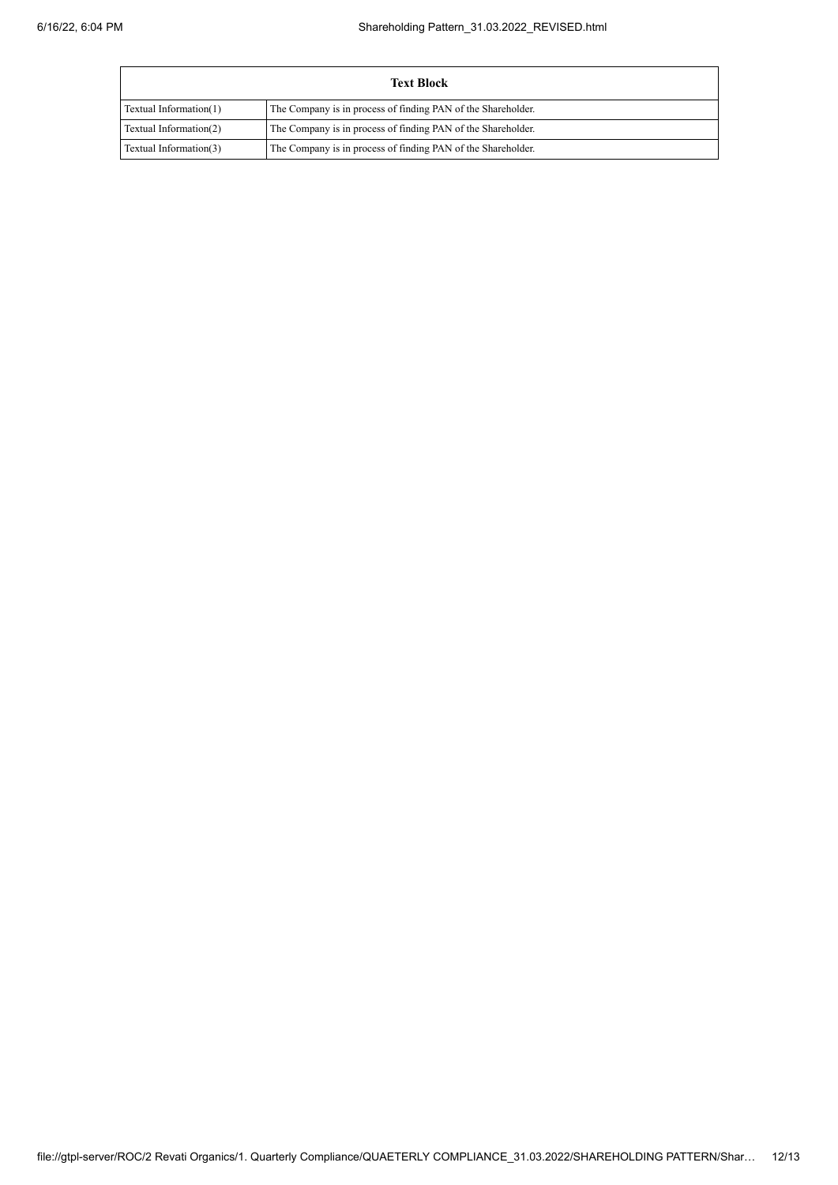| <b>Text Block</b>      |                                                              |  |  |  |  |  |  |  |
|------------------------|--------------------------------------------------------------|--|--|--|--|--|--|--|
| Textual Information(1) | The Company is in process of finding PAN of the Shareholder. |  |  |  |  |  |  |  |
| Textual Information(2) | The Company is in process of finding PAN of the Shareholder. |  |  |  |  |  |  |  |
| Textual Information(3) | The Company is in process of finding PAN of the Shareholder. |  |  |  |  |  |  |  |